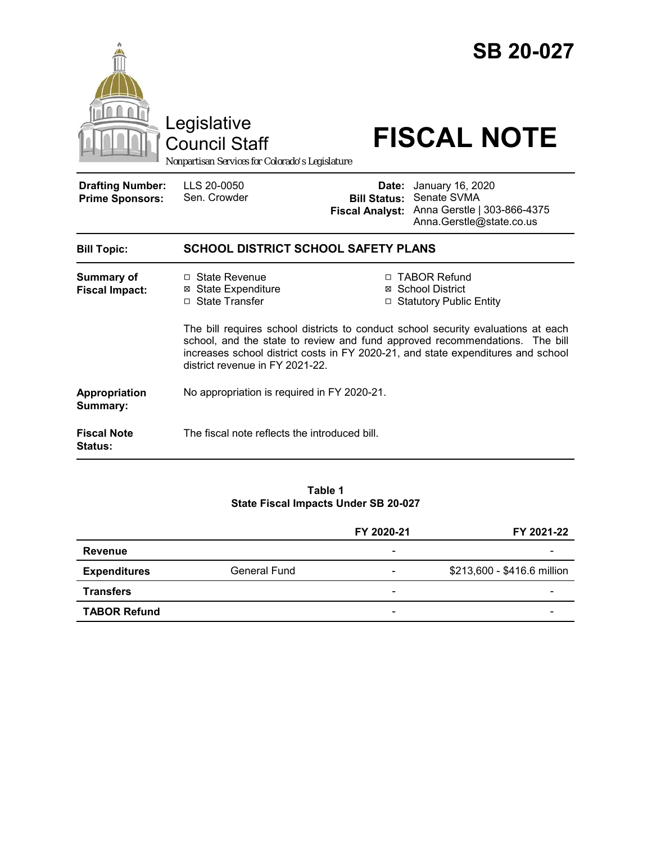|                                                   | Legislative<br><b>Council Staff</b><br>Nonpartisan Services for Colorado's Legislature                                                                                                             |       | <b>SB 20-027</b><br><b>FISCAL NOTE</b>                                                                                                                |  |
|---------------------------------------------------|----------------------------------------------------------------------------------------------------------------------------------------------------------------------------------------------------|-------|-------------------------------------------------------------------------------------------------------------------------------------------------------|--|
| <b>Drafting Number:</b><br><b>Prime Sponsors:</b> | LLS 20-0050<br>Sen. Crowder                                                                                                                                                                        | Date: | January 16, 2020<br><b>Bill Status: Senate SVMA</b><br>Fiscal Analyst: Anna Gerstle   303-866-4375<br>Anna.Gerstle@state.co.us                        |  |
| <b>Bill Topic:</b>                                | <b>SCHOOL DISTRICT SCHOOL SAFETY PLANS</b>                                                                                                                                                         |       |                                                                                                                                                       |  |
| <b>Summary of</b><br><b>Fiscal Impact:</b>        | □ State Revenue<br><b>⊠</b> State Expenditure<br>□ State Transfer                                                                                                                                  |       | □ TABOR Refund<br>⊠ School District<br>□ Statutory Public Entity<br>The bill requires school districts to conduct school security evaluations at each |  |
|                                                   | school, and the state to review and fund approved recommendations. The bill<br>increases school district costs in FY 2020-21, and state expenditures and school<br>district revenue in FY 2021-22. |       |                                                                                                                                                       |  |
| Appropriation<br>Summary:                         | No appropriation is required in FY 2020-21.                                                                                                                                                        |       |                                                                                                                                                       |  |
| <b>Fiscal Note</b><br><b>Status:</b>              | The fiscal note reflects the introduced bill.                                                                                                                                                      |       |                                                                                                                                                       |  |

### **Table 1 State Fiscal Impacts Under SB 20-027**

|                     |                     | FY 2020-21               | FY 2021-22                  |
|---------------------|---------------------|--------------------------|-----------------------------|
| <b>Revenue</b>      |                     | $\overline{\phantom{a}}$ |                             |
| <b>Expenditures</b> | <b>General Fund</b> | -                        | \$213,600 - \$416.6 million |
| <b>Transfers</b>    |                     | $\overline{\phantom{a}}$ |                             |
| <b>TABOR Refund</b> |                     | $\overline{\phantom{a}}$ |                             |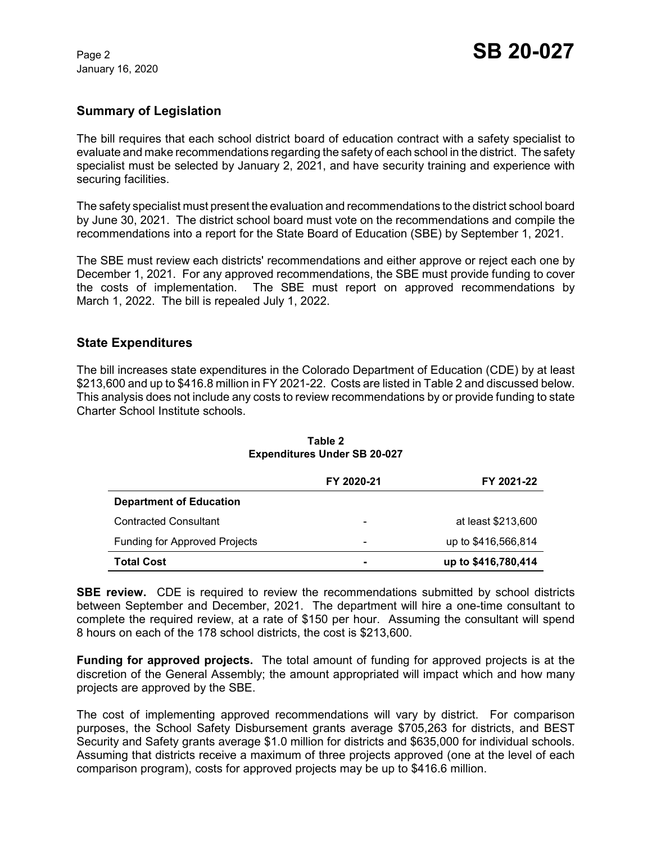January 16, 2020

## **Summary of Legislation**

The bill requires that each school district board of education contract with a safety specialist to evaluate and make recommendations regarding the safety of each school in the district. The safety specialist must be selected by January 2, 2021, and have security training and experience with securing facilities.

The safety specialist must present the evaluation and recommendations to the district school board by June 30, 2021. The district school board must vote on the recommendations and compile the recommendations into a report for the State Board of Education (SBE) by September 1, 2021.

The SBE must review each districts' recommendations and either approve or reject each one by December 1, 2021. For any approved recommendations, the SBE must provide funding to cover the costs of implementation. The SBE must report on approved recommendations by March 1, 2022. The bill is repealed July 1, 2022.

### **State Expenditures**

The bill increases state expenditures in the Colorado Department of Education (CDE) by at least \$213,600 and up to \$416.8 million in FY 2021-22. Costs are listed in Table 2 and discussed below. This analysis does not include any costs to review recommendations by or provide funding to state Charter School Institute schools.

|                                      | FY 2020-21               | FY 2021-22          |
|--------------------------------------|--------------------------|---------------------|
| <b>Department of Education</b>       |                          |                     |
| <b>Contracted Consultant</b>         | $\overline{\phantom{a}}$ | at least \$213,600  |
| <b>Funding for Approved Projects</b> | $\overline{\phantom{0}}$ | up to \$416,566,814 |
| <b>Total Cost</b>                    | -                        | up to \$416,780,414 |

#### **Table 2 Expenditures Under SB 20-027**

**SBE review.** CDE is required to review the recommendations submitted by school districts between September and December, 2021. The department will hire a one-time consultant to complete the required review, at a rate of \$150 per hour. Assuming the consultant will spend 8 hours on each of the 178 school districts, the cost is \$213,600.

**Funding for approved projects.** The total amount of funding for approved projects is at the discretion of the General Assembly; the amount appropriated will impact which and how many projects are approved by the SBE.

The cost of implementing approved recommendations will vary by district. For comparison purposes, the School Safety Disbursement grants average \$705,263 for districts, and BEST Security and Safety grants average \$1.0 million for districts and \$635,000 for individual schools. Assuming that districts receive a maximum of three projects approved (one at the level of each comparison program), costs for approved projects may be up to \$416.6 million.